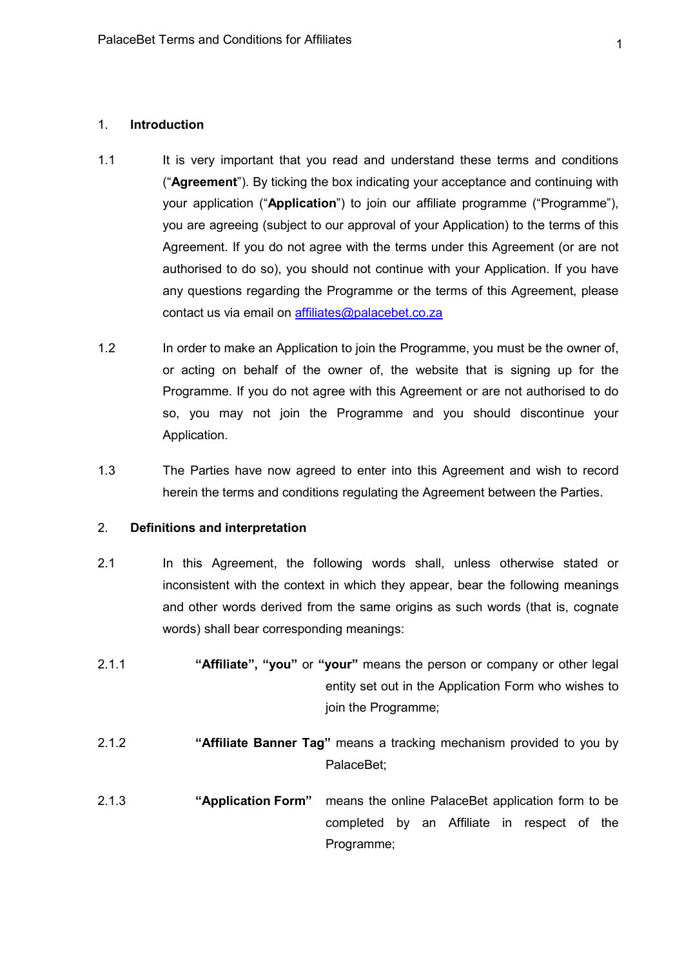#### 1. Introduction

- 1.1 It is very important that you read and understand these terms and conditions ("Agreement"). By ticking the box indicating your acceptance and continuing with your application ("Application") to join our affiliate programme ("Programme"), you are agreeing (subject to our approval of your Application) to the terms of this Agreement. If you do not agree with the terms under this Agreement (or are not authorised to do so), you should not continue with your Application. If you have any questions regarding the Programme or the terms of this Agreement, please contact us via email on affiliates@palacebet.co.za
- 1.2 In order to make an Application to join the Programme, you must be the owner of, or acting on behalf of the owner of, the website that is signing up for the Programme. If you do not agree with this Agreement or are not authorised to do so, you may not join the Programme and you should discontinue your Application.
- 1.3 The Parties have now agreed to enter into this Agreement and wish to record herein the terms and conditions regulating the Agreement between the Parties.

#### 2. Definitions and interpretation

- 2.1 In this Agreement, the following words shall, unless otherwise stated or inconsistent with the context in which they appear, bear the following meanings and other words derived from the same origins as such words (that is, cognate words) shall bear corresponding meanings:
- 2.1.1 "Affiliate", "you" or "your" means the person or company or other legal entity set out in the Application Form who wishes to join the Programme;
- 2.1.2 "Affiliate Banner Tag" means a tracking mechanism provided to you by PalaceBet;
- 2.1.3 "Application Form" means the online PalaceBet application form to be completed by an Affiliate in respect of the Programme;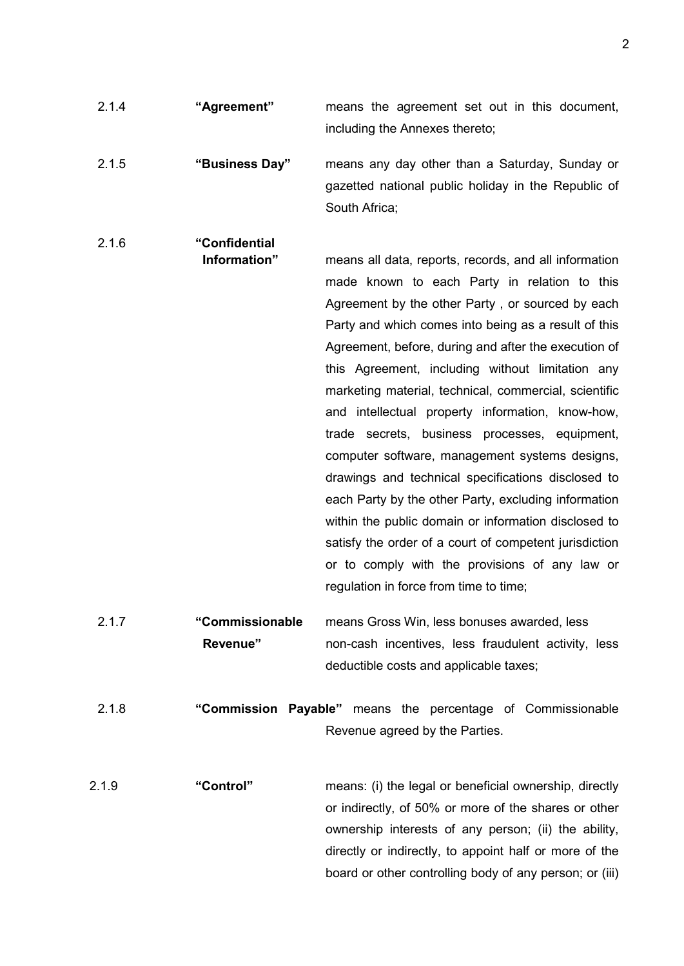- 2.1.4 "Agreement" means the agreement set out in this document, including the Annexes thereto; 2.1.5 "Business Day" means any day other than a Saturday, Sunday or gazetted national public holiday in the Republic of South Africa; 2.1.6 "Confidential Information" means all data, reports, records, and all information made known to each Party in relation to this Agreement by the other Party , or sourced by each Party and which comes into being as a result of this Agreement, before, during and after the execution of this Agreement, including without limitation any marketing material, technical, commercial, scientific and intellectual property information, know-how, trade secrets, business processes, equipment, computer software, management systems designs, drawings and technical specifications disclosed to each Party by the other Party, excluding information within the public domain or information disclosed to satisfy the order of a court of competent jurisdiction or to comply with the provisions of any law or regulation in force from time to time; 2.1.7 "Commissionable means Gross Win, less bonuses awarded, less Revenue" non-cash incentives, less fraudulent activity, less deductible costs and applicable taxes; 2.1.8 "Commission Payable" means the percentage of Commissionable Revenue agreed by the Parties.
- 2.1.9 "Control" means: (i) the legal or beneficial ownership, directly or indirectly, of 50% or more of the shares or other ownership interests of any person; (ii) the ability, directly or indirectly, to appoint half or more of the board or other controlling body of any person; or (iii)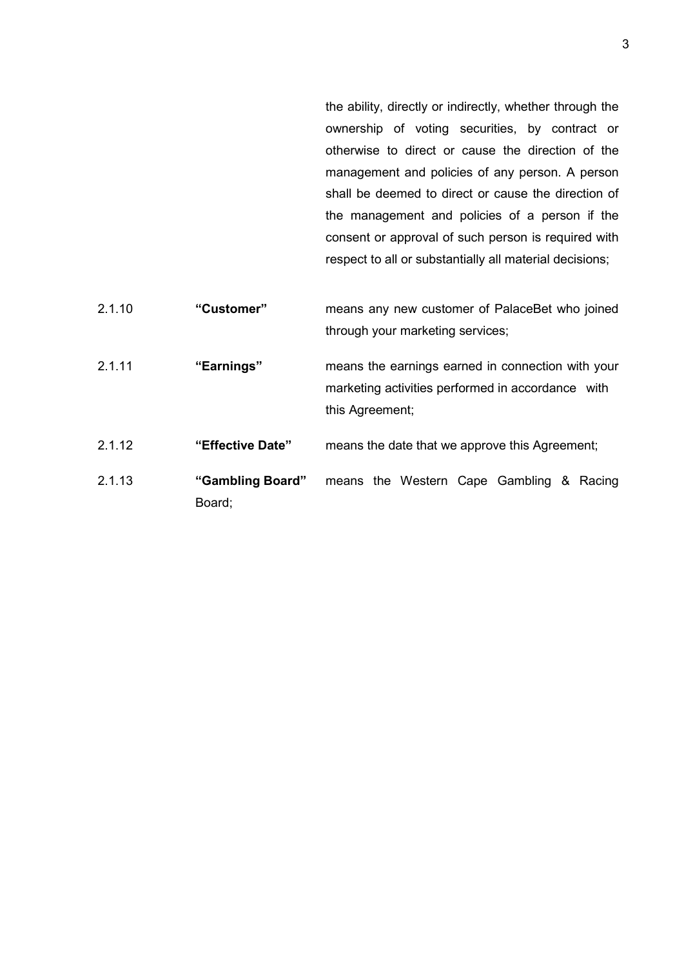the ability, directly or indirectly, whether through the ownership of voting securities, by contract or otherwise to direct or cause the direction of the management and policies of any person. A person shall be deemed to direct or cause the direction of the management and policies of a person if the consent or approval of such person is required with respect to all or substantially all material decisions;

2.1.10 "Customer" means any new customer of PalaceBet who joined through your marketing services; 2.1.11 "Earnings" means the earnings earned in connection with your marketing activities performed in accordance with this Agreement; 2.1.12 **"Effective Date"** means the date that we approve this Agreement; 2.1.13 "Gambling Board" means the Western Cape Gambling & Racing Board;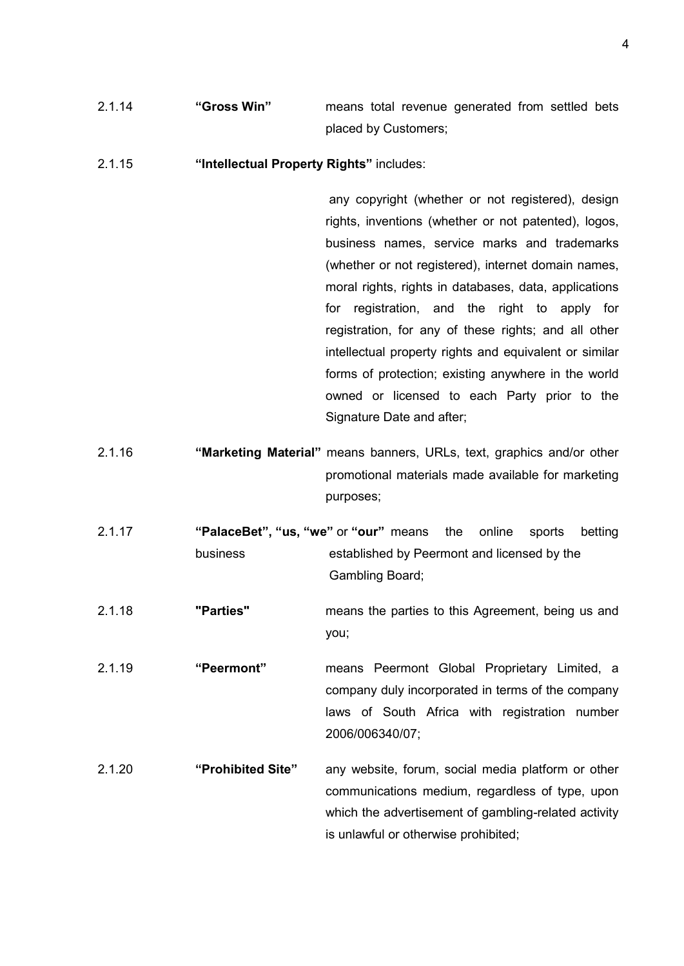2.1.14 "Gross Win" means total revenue generated from settled bets placed by Customers;

#### 2.1.15 "Intellectual Property Rights" includes:

any copyright (whether or not registered), design rights, inventions (whether or not patented), logos, business names, service marks and trademarks (whether or not registered), internet domain names, moral rights, rights in databases, data, applications for registration, and the right to apply for registration, for any of these rights; and all other intellectual property rights and equivalent or similar forms of protection; existing anywhere in the world owned or licensed to each Party prior to the Signature Date and after;

- 2.1.16 "Marketing Material" means banners, URLs, text, graphics and/or other promotional materials made available for marketing purposes;
- 2.1.17 "PalaceBet", "us, "we" or "our" means the online sports betting business established by Peermont and licensed by the Gambling Board;
- 2.1.18 "Parties" means the parties to this Agreement, being us and you;
- 2.1.19 "Peermont" means Peermont Global Proprietary Limited, a company duly incorporated in terms of the company laws of South Africa with registration number 2006/006340/07;
- 2.1.20 "Prohibited Site" any website, forum, social media platform or other communications medium, regardless of type, upon which the advertisement of gambling-related activity is unlawful or otherwise prohibited;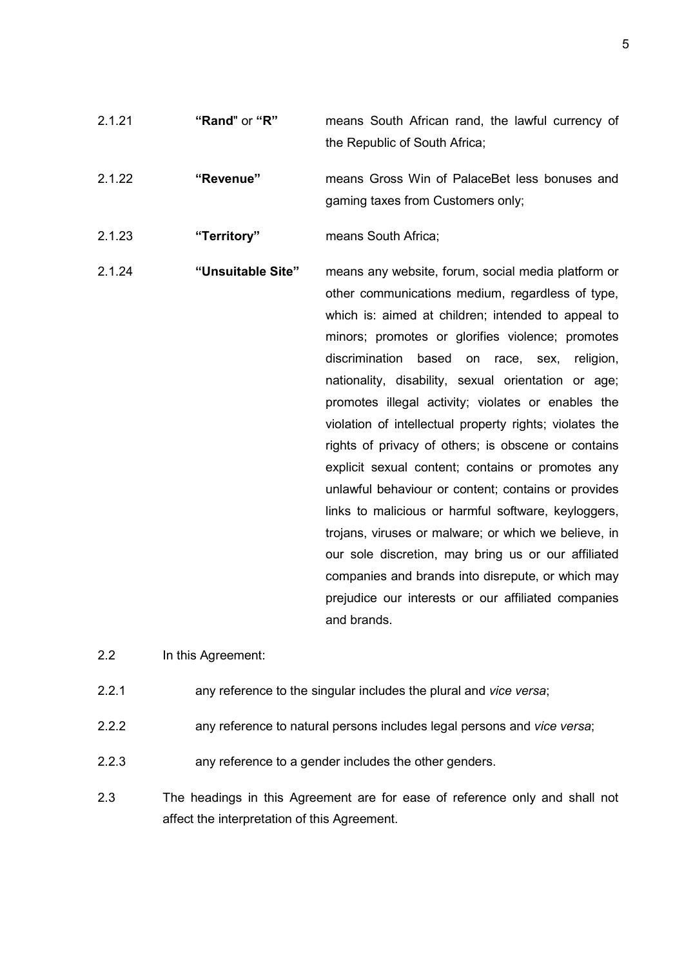| 2.1.21 | "Rand" or "R"     | means South African rand, the lawful currency of<br>the Republic of South Africa;                                                                                                                                                                                                                                                                                                                                                                                                                                                                                                                                                                                                                                                                                                                                                                                                                                        |
|--------|-------------------|--------------------------------------------------------------------------------------------------------------------------------------------------------------------------------------------------------------------------------------------------------------------------------------------------------------------------------------------------------------------------------------------------------------------------------------------------------------------------------------------------------------------------------------------------------------------------------------------------------------------------------------------------------------------------------------------------------------------------------------------------------------------------------------------------------------------------------------------------------------------------------------------------------------------------|
| 2.1.22 | "Revenue"         | means Gross Win of PalaceBet less bonuses and<br>gaming taxes from Customers only;                                                                                                                                                                                                                                                                                                                                                                                                                                                                                                                                                                                                                                                                                                                                                                                                                                       |
| 2.1.23 | "Territory"       | means South Africa;                                                                                                                                                                                                                                                                                                                                                                                                                                                                                                                                                                                                                                                                                                                                                                                                                                                                                                      |
| 2.1.24 | "Unsuitable Site" | means any website, forum, social media platform or<br>other communications medium, regardless of type,<br>which is: aimed at children; intended to appeal to<br>minors; promotes or glorifies violence; promotes<br>discrimination<br>based<br>on<br>race, sex,<br>religion,<br>nationality, disability, sexual orientation or age;<br>promotes illegal activity; violates or enables the<br>violation of intellectual property rights; violates the<br>rights of privacy of others; is obscene or contains<br>explicit sexual content; contains or promotes any<br>unlawful behaviour or content; contains or provides<br>links to malicious or harmful software, keyloggers,<br>trojans, viruses or malware; or which we believe, in<br>our sole discretion, may bring us or our affiliated<br>companies and brands into disrepute, or which may<br>prejudice our interests or our affiliated companies<br>and brands. |

2.2 In this Agreement:

- 2.2.1 any reference to the singular includes the plural and vice versa;
- 2.2.2 any reference to natural persons includes legal persons and vice versa;
- 2.2.3 any reference to a gender includes the other genders.
- 2.3 The headings in this Agreement are for ease of reference only and shall not affect the interpretation of this Agreement.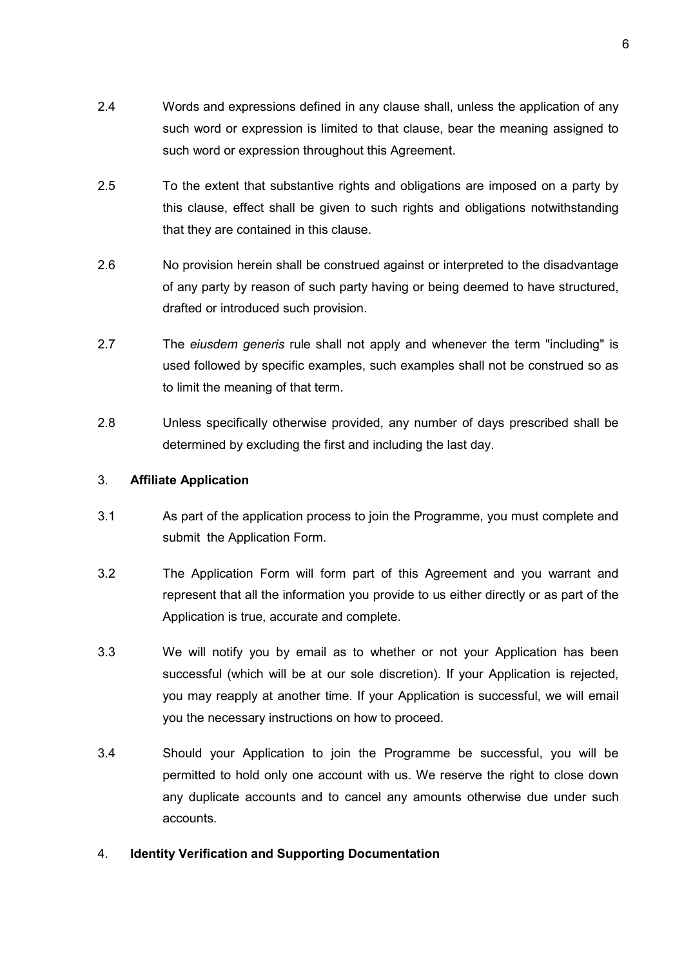- 2.4 Words and expressions defined in any clause shall, unless the application of any such word or expression is limited to that clause, bear the meaning assigned to such word or expression throughout this Agreement.
- 2.5 To the extent that substantive rights and obligations are imposed on a party by this clause, effect shall be given to such rights and obligations notwithstanding that they are contained in this clause.
- 2.6 No provision herein shall be construed against or interpreted to the disadvantage of any party by reason of such party having or being deemed to have structured, drafted or introduced such provision.
- 2.7 The eiusdem generis rule shall not apply and whenever the term "including" is used followed by specific examples, such examples shall not be construed so as to limit the meaning of that term.
- 2.8 Unless specifically otherwise provided, any number of days prescribed shall be determined by excluding the first and including the last day.

# 3. Affiliate Application

- 3.1 As part of the application process to join the Programme, you must complete and submit the Application Form.
- 3.2 The Application Form will form part of this Agreement and you warrant and represent that all the information you provide to us either directly or as part of the Application is true, accurate and complete.
- 3.3 We will notify you by email as to whether or not your Application has been successful (which will be at our sole discretion). If your Application is rejected, you may reapply at another time. If your Application is successful, we will email you the necessary instructions on how to proceed.
- 3.4 Should your Application to join the Programme be successful, you will be permitted to hold only one account with us. We reserve the right to close down any duplicate accounts and to cancel any amounts otherwise due under such accounts.

# 4. Identity Verification and Supporting Documentation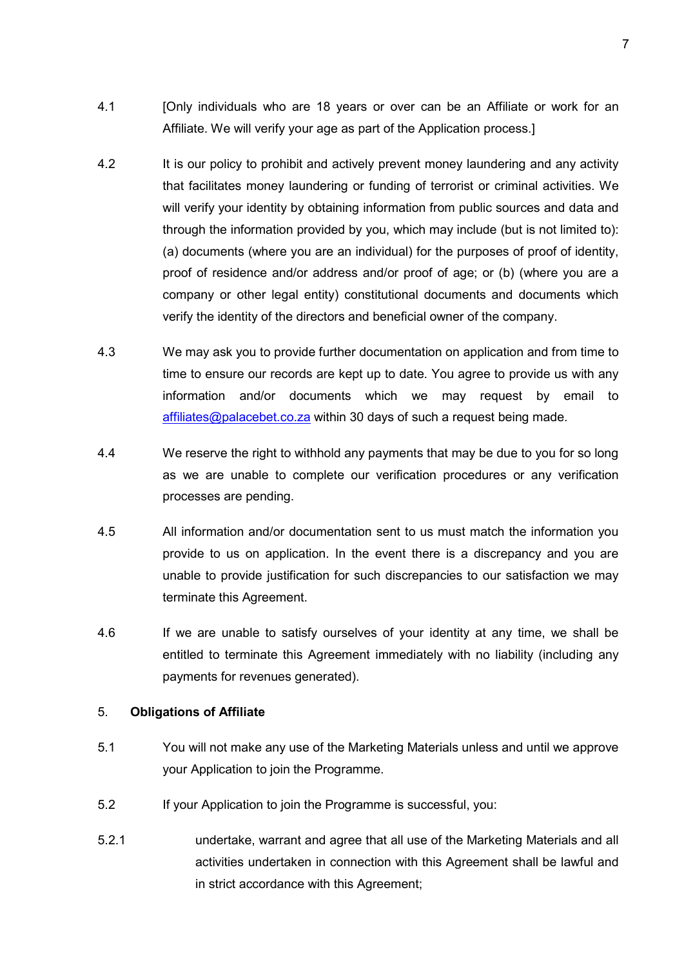- 4.1 [Only individuals who are 18 years or over can be an Affiliate or work for an Affiliate. We will verify your age as part of the Application process.]
- 4.2 It is our policy to prohibit and actively prevent money laundering and any activity that facilitates money laundering or funding of terrorist or criminal activities. We will verify your identity by obtaining information from public sources and data and through the information provided by you, which may include (but is not limited to): (a) documents (where you are an individual) for the purposes of proof of identity, proof of residence and/or address and/or proof of age; or (b) (where you are a company or other legal entity) constitutional documents and documents which verify the identity of the directors and beneficial owner of the company.
- 4.3 We may ask you to provide further documentation on application and from time to time to ensure our records are kept up to date. You agree to provide us with any information and/or documents which we may request by email to affiliates@palacebet.co.za within 30 days of such a request being made.
- 4.4 We reserve the right to withhold any payments that may be due to you for so long as we are unable to complete our verification procedures or any verification processes are pending.
- 4.5 All information and/or documentation sent to us must match the information you provide to us on application. In the event there is a discrepancy and you are unable to provide justification for such discrepancies to our satisfaction we may terminate this Agreement.
- 4.6 If we are unable to satisfy ourselves of your identity at any time, we shall be entitled to terminate this Agreement immediately with no liability (including any payments for revenues generated).

### 5. Obligations of Affiliate

- 5.1 You will not make any use of the Marketing Materials unless and until we approve your Application to join the Programme.
- 5.2 If your Application to join the Programme is successful, you:
- 5.2.1 undertake, warrant and agree that all use of the Marketing Materials and all activities undertaken in connection with this Agreement shall be lawful and in strict accordance with this Agreement;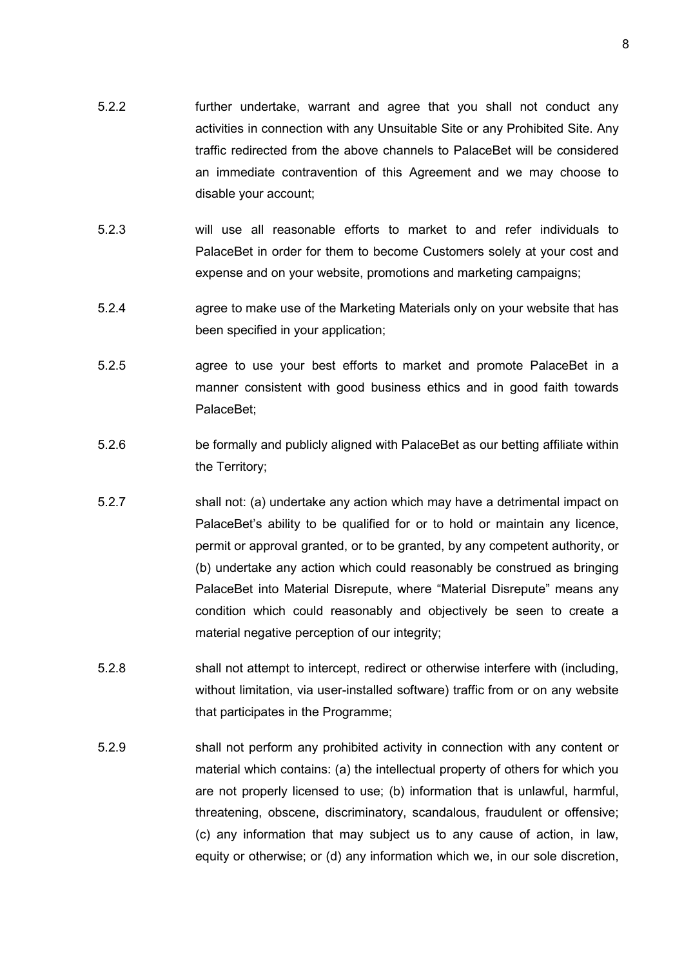- 5.2.2 further undertake, warrant and agree that you shall not conduct any activities in connection with any Unsuitable Site or any Prohibited Site. Any traffic redirected from the above channels to PalaceBet will be considered an immediate contravention of this Agreement and we may choose to disable your account;
- 5.2.3 will use all reasonable efforts to market to and refer individuals to PalaceBet in order for them to become Customers solely at your cost and expense and on your website, promotions and marketing campaigns;
- 5.2.4 agree to make use of the Marketing Materials only on your website that has been specified in your application;
- 5.2.5 agree to use your best efforts to market and promote PalaceBet in a manner consistent with good business ethics and in good faith towards PalaceBet;
- 5.2.6 be formally and publicly aligned with PalaceBet as our betting affiliate within the Territory;
- 5.2.7 shall not: (a) undertake any action which may have a detrimental impact on PalaceBet's ability to be qualified for or to hold or maintain any licence, permit or approval granted, or to be granted, by any competent authority, or (b) undertake any action which could reasonably be construed as bringing PalaceBet into Material Disrepute, where "Material Disrepute" means any condition which could reasonably and objectively be seen to create a material negative perception of our integrity;
- 5.2.8 shall not attempt to intercept, redirect or otherwise interfere with (including, without limitation, via user-installed software) traffic from or on any website that participates in the Programme;
- 5.2.9 shall not perform any prohibited activity in connection with any content or material which contains: (a) the intellectual property of others for which you are not properly licensed to use; (b) information that is unlawful, harmful, threatening, obscene, discriminatory, scandalous, fraudulent or offensive; (c) any information that may subject us to any cause of action, in law, equity or otherwise; or (d) any information which we, in our sole discretion,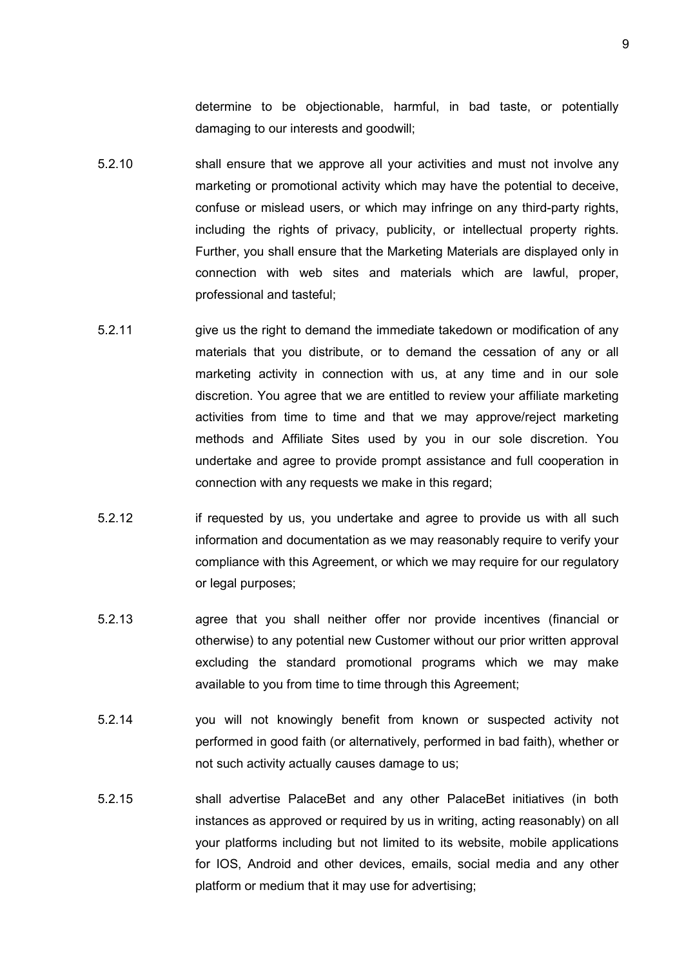determine to be objectionable, harmful, in bad taste, or potentially damaging to our interests and goodwill;

- 5.2.10 shall ensure that we approve all your activities and must not involve any marketing or promotional activity which may have the potential to deceive, confuse or mislead users, or which may infringe on any third-party rights, including the rights of privacy, publicity, or intellectual property rights. Further, you shall ensure that the Marketing Materials are displayed only in connection with web sites and materials which are lawful, proper, professional and tasteful;
- 5.2.11 give us the right to demand the immediate takedown or modification of any materials that you distribute, or to demand the cessation of any or all marketing activity in connection with us, at any time and in our sole discretion. You agree that we are entitled to review your affiliate marketing activities from time to time and that we may approve/reject marketing methods and Affiliate Sites used by you in our sole discretion. You undertake and agree to provide prompt assistance and full cooperation in connection with any requests we make in this regard;
- 5.2.12 if requested by us, you undertake and agree to provide us with all such information and documentation as we may reasonably require to verify your compliance with this Agreement, or which we may require for our regulatory or legal purposes;
- 5.2.13 agree that you shall neither offer nor provide incentives (financial or otherwise) to any potential new Customer without our prior written approval excluding the standard promotional programs which we may make available to you from time to time through this Agreement;
- 5.2.14 you will not knowingly benefit from known or suspected activity not performed in good faith (or alternatively, performed in bad faith), whether or not such activity actually causes damage to us;
- 5.2.15 shall advertise PalaceBet and any other PalaceBet initiatives (in both instances as approved or required by us in writing, acting reasonably) on all your platforms including but not limited to its website, mobile applications for IOS, Android and other devices, emails, social media and any other platform or medium that it may use for advertising;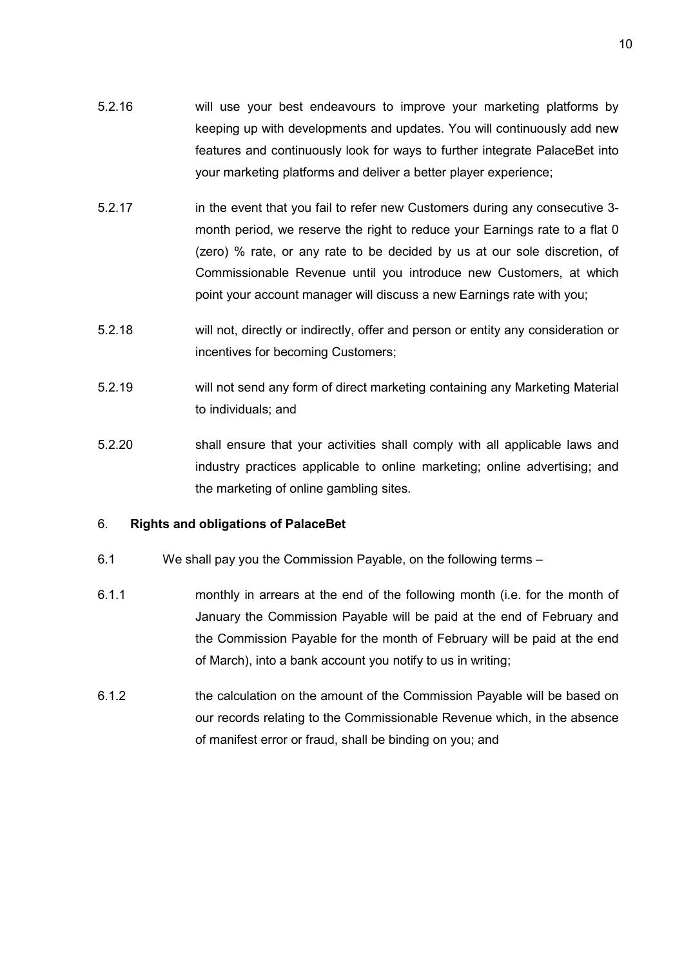- 5.2.16 will use your best endeavours to improve your marketing platforms by keeping up with developments and updates. You will continuously add new features and continuously look for ways to further integrate PalaceBet into your marketing platforms and deliver a better player experience;
- 5.2.17 in the event that you fail to refer new Customers during any consecutive 3month period, we reserve the right to reduce your Earnings rate to a flat 0 (zero) % rate, or any rate to be decided by us at our sole discretion, of Commissionable Revenue until you introduce new Customers, at which point your account manager will discuss a new Earnings rate with you;
- 5.2.18 will not, directly or indirectly, offer and person or entity any consideration or incentives for becoming Customers;
- 5.2.19 will not send any form of direct marketing containing any Marketing Material to individuals; and
- 5.2.20 shall ensure that your activities shall comply with all applicable laws and industry practices applicable to online marketing; online advertising; and the marketing of online gambling sites.

#### 6. Rights and obligations of PalaceBet

- 6.1 We shall pay you the Commission Payable, on the following terms –
- 6.1.1 monthly in arrears at the end of the following month (i.e. for the month of January the Commission Payable will be paid at the end of February and the Commission Payable for the month of February will be paid at the end of March), into a bank account you notify to us in writing;
- 6.1.2 the calculation on the amount of the Commission Payable will be based on our records relating to the Commissionable Revenue which, in the absence of manifest error or fraud, shall be binding on you; and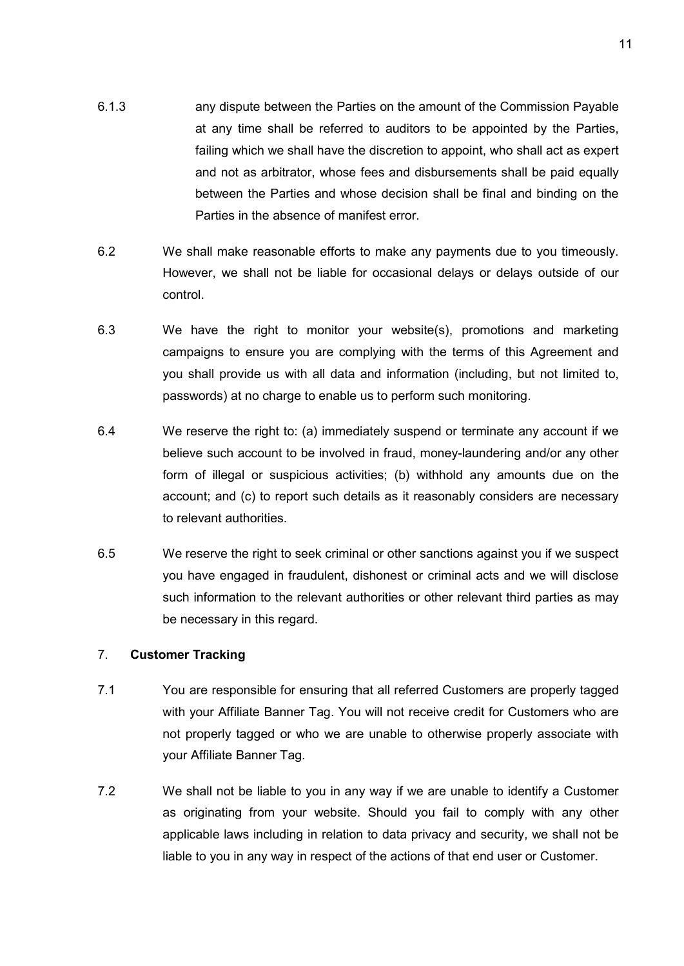- 6.1.3 any dispute between the Parties on the amount of the Commission Payable at any time shall be referred to auditors to be appointed by the Parties, failing which we shall have the discretion to appoint, who shall act as expert and not as arbitrator, whose fees and disbursements shall be paid equally between the Parties and whose decision shall be final and binding on the Parties in the absence of manifest error.
- 6.2 We shall make reasonable efforts to make any payments due to you timeously. However, we shall not be liable for occasional delays or delays outside of our control.
- 6.3 We have the right to monitor your website(s), promotions and marketing campaigns to ensure you are complying with the terms of this Agreement and you shall provide us with all data and information (including, but not limited to, passwords) at no charge to enable us to perform such monitoring.
- 6.4 We reserve the right to: (a) immediately suspend or terminate any account if we believe such account to be involved in fraud, money-laundering and/or any other form of illegal or suspicious activities; (b) withhold any amounts due on the account; and (c) to report such details as it reasonably considers are necessary to relevant authorities.
- 6.5 We reserve the right to seek criminal or other sanctions against you if we suspect you have engaged in fraudulent, dishonest or criminal acts and we will disclose such information to the relevant authorities or other relevant third parties as may be necessary in this regard.

### 7. Customer Tracking

- 7.1 You are responsible for ensuring that all referred Customers are properly tagged with your Affiliate Banner Tag. You will not receive credit for Customers who are not properly tagged or who we are unable to otherwise properly associate with your Affiliate Banner Tag.
- 7.2 We shall not be liable to you in any way if we are unable to identify a Customer as originating from your website. Should you fail to comply with any other applicable laws including in relation to data privacy and security, we shall not be liable to you in any way in respect of the actions of that end user or Customer.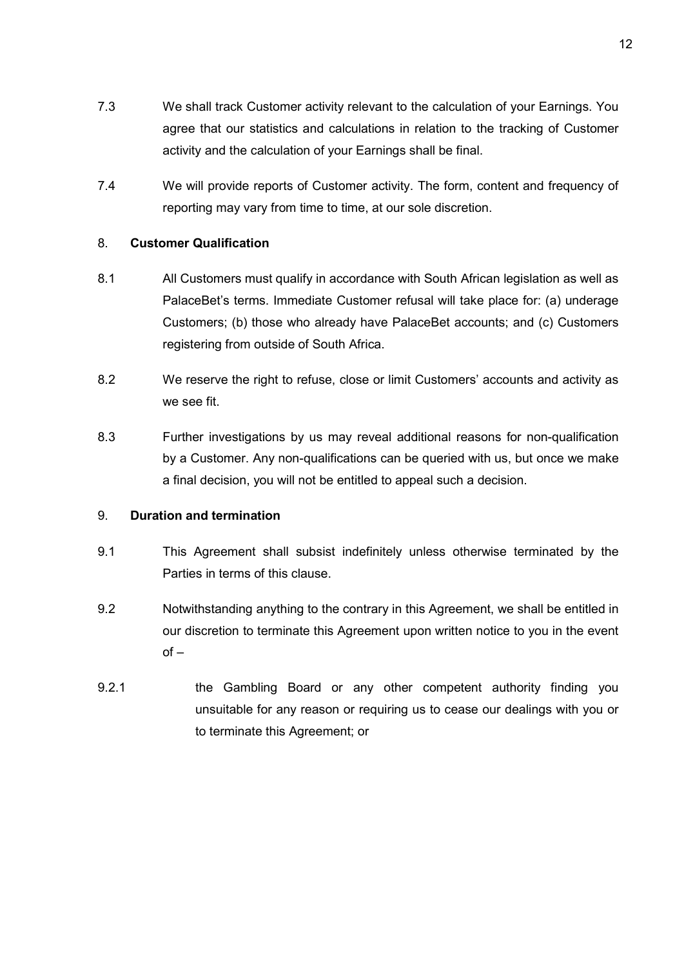- 7.3 We shall track Customer activity relevant to the calculation of your Earnings. You agree that our statistics and calculations in relation to the tracking of Customer activity and the calculation of your Earnings shall be final.
- 7.4 We will provide reports of Customer activity. The form, content and frequency of reporting may vary from time to time, at our sole discretion.

### 8. Customer Qualification

- 8.1 All Customers must qualify in accordance with South African legislation as well as PalaceBet's terms. Immediate Customer refusal will take place for: (a) underage Customers; (b) those who already have PalaceBet accounts; and (c) Customers registering from outside of South Africa.
- 8.2 We reserve the right to refuse, close or limit Customers' accounts and activity as we see fit.
- 8.3 Further investigations by us may reveal additional reasons for non-qualification by a Customer. Any non-qualifications can be queried with us, but once we make a final decision, you will not be entitled to appeal such a decision.

### 9. Duration and termination

- 9.1 This Agreement shall subsist indefinitely unless otherwise terminated by the Parties in terms of this clause.
- 9.2 Notwithstanding anything to the contrary in this Agreement, we shall be entitled in our discretion to terminate this Agreement upon written notice to you in the event  $of -$
- 9.2.1 the Gambling Board or any other competent authority finding you unsuitable for any reason or requiring us to cease our dealings with you or to terminate this Agreement; or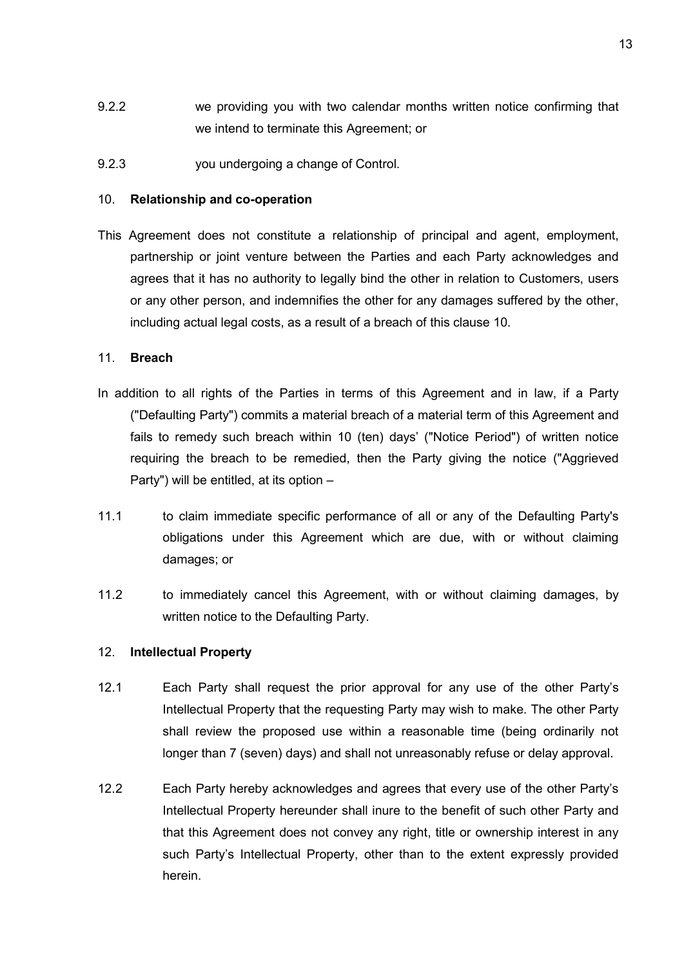- 9.2.2 we providing you with two calendar months written notice confirming that we intend to terminate this Agreement; or
- 9.2.3 you undergoing a change of Control.

### 10. Relationship and co-operation

This Agreement does not constitute a relationship of principal and agent, employment, partnership or joint venture between the Parties and each Party acknowledges and agrees that it has no authority to legally bind the other in relation to Customers, users or any other person, and indemnifies the other for any damages suffered by the other, including actual legal costs, as a result of a breach of this clause 10.

# 11. Breach

- In addition to all rights of the Parties in terms of this Agreement and in law, if a Party ("Defaulting Party") commits a material breach of a material term of this Agreement and fails to remedy such breach within 10 (ten) days' ("Notice Period") of written notice requiring the breach to be remedied, then the Party giving the notice ("Aggrieved Party") will be entitled, at its option –
- 11.1 to claim immediate specific performance of all or any of the Defaulting Party's obligations under this Agreement which are due, with or without claiming damages; or
- 11.2 to immediately cancel this Agreement, with or without claiming damages, by written notice to the Defaulting Party.

### 12. Intellectual Property

- 12.1 Each Party shall request the prior approval for any use of the other Party's Intellectual Property that the requesting Party may wish to make. The other Party shall review the proposed use within a reasonable time (being ordinarily not longer than 7 (seven) days) and shall not unreasonably refuse or delay approval.
- 12.2 Each Party hereby acknowledges and agrees that every use of the other Party's Intellectual Property hereunder shall inure to the benefit of such other Party and that this Agreement does not convey any right, title or ownership interest in any such Party's Intellectual Property, other than to the extent expressly provided herein.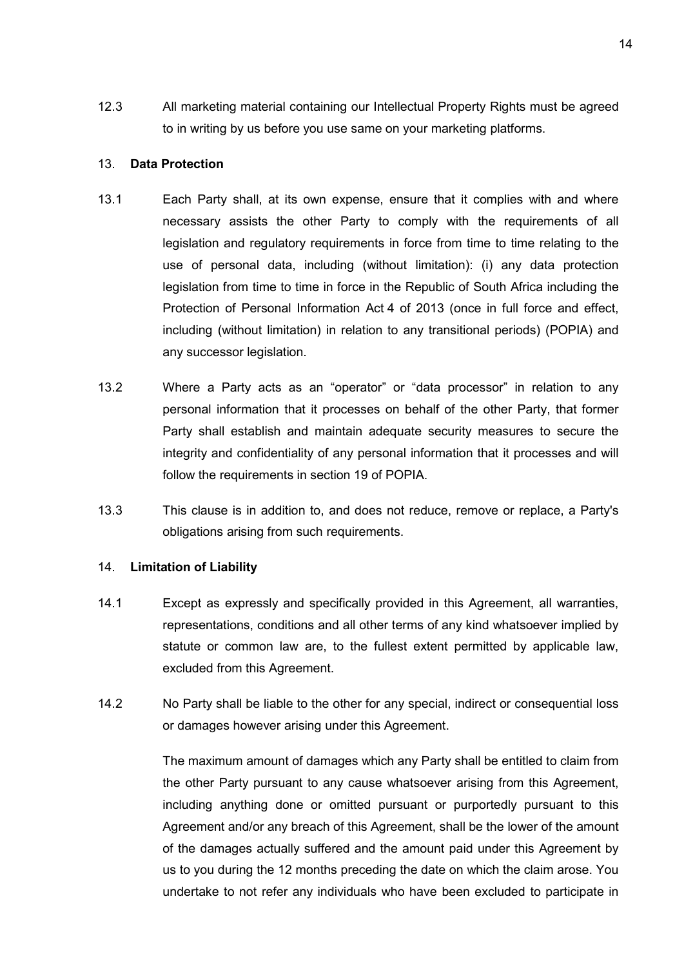12.3 All marketing material containing our Intellectual Property Rights must be agreed to in writing by us before you use same on your marketing platforms.

### 13. Data Protection

- 13.1 Each Party shall, at its own expense, ensure that it complies with and where necessary assists the other Party to comply with the requirements of all legislation and regulatory requirements in force from time to time relating to the use of personal data, including (without limitation): (i) any data protection legislation from time to time in force in the Republic of South Africa including the Protection of Personal Information Act 4 of 2013 (once in full force and effect, including (without limitation) in relation to any transitional periods) (POPIA) and any successor legislation.
- 13.2 Where a Party acts as an "operator" or "data processor" in relation to any personal information that it processes on behalf of the other Party, that former Party shall establish and maintain adequate security measures to secure the integrity and confidentiality of any personal information that it processes and will follow the requirements in section 19 of POPIA.
- 13.3 This clause is in addition to, and does not reduce, remove or replace, a Party's obligations arising from such requirements.

#### 14. Limitation of Liability

- 14.1 Except as expressly and specifically provided in this Agreement, all warranties, representations, conditions and all other terms of any kind whatsoever implied by statute or common law are, to the fullest extent permitted by applicable law, excluded from this Agreement.
- 14.2 No Party shall be liable to the other for any special, indirect or consequential loss or damages however arising under this Agreement.

The maximum amount of damages which any Party shall be entitled to claim from the other Party pursuant to any cause whatsoever arising from this Agreement, including anything done or omitted pursuant or purportedly pursuant to this Agreement and/or any breach of this Agreement, shall be the lower of the amount of the damages actually suffered and the amount paid under this Agreement by us to you during the 12 months preceding the date on which the claim arose. You undertake to not refer any individuals who have been excluded to participate in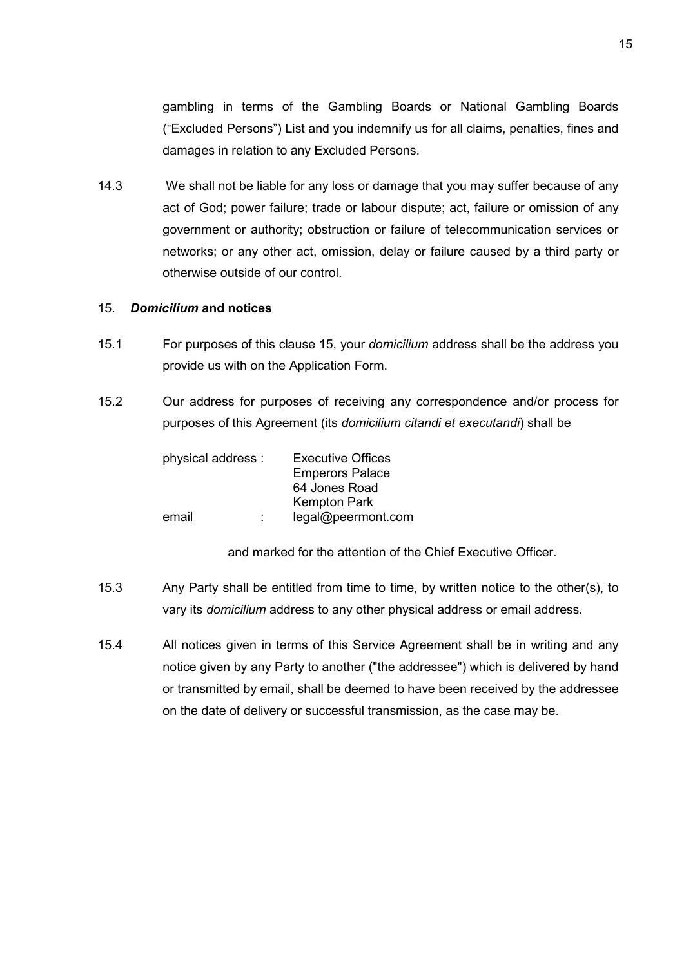gambling in terms of the Gambling Boards or National Gambling Boards ("Excluded Persons") List and you indemnify us for all claims, penalties, fines and damages in relation to any Excluded Persons.

14.3 We shall not be liable for any loss or damage that you may suffer because of any act of God; power failure; trade or labour dispute; act, failure or omission of any government or authority; obstruction or failure of telecommunication services or networks; or any other act, omission, delay or failure caused by a third party or otherwise outside of our control.

### 15. Domicilium and notices

- 15.1 For purposes of this clause 15, your domicilium address shall be the address you provide us with on the Application Form.
- 15.2 Our address for purposes of receiving any correspondence and/or process for purposes of this Agreement (its domicilium citandi et executandi) shall be

| physical address : | <b>Executive Offices</b><br><b>Emperors Palace</b><br>64 Jones Road<br><b>Kempton Park</b> |
|--------------------|--------------------------------------------------------------------------------------------|
| email              | legal@peermont.com                                                                         |

and marked for the attention of the Chief Executive Officer.

- 15.3 Any Party shall be entitled from time to time, by written notice to the other(s), to vary its domicilium address to any other physical address or email address.
- 15.4 All notices given in terms of this Service Agreement shall be in writing and any notice given by any Party to another ("the addressee") which is delivered by hand or transmitted by email, shall be deemed to have been received by the addressee on the date of delivery or successful transmission, as the case may be.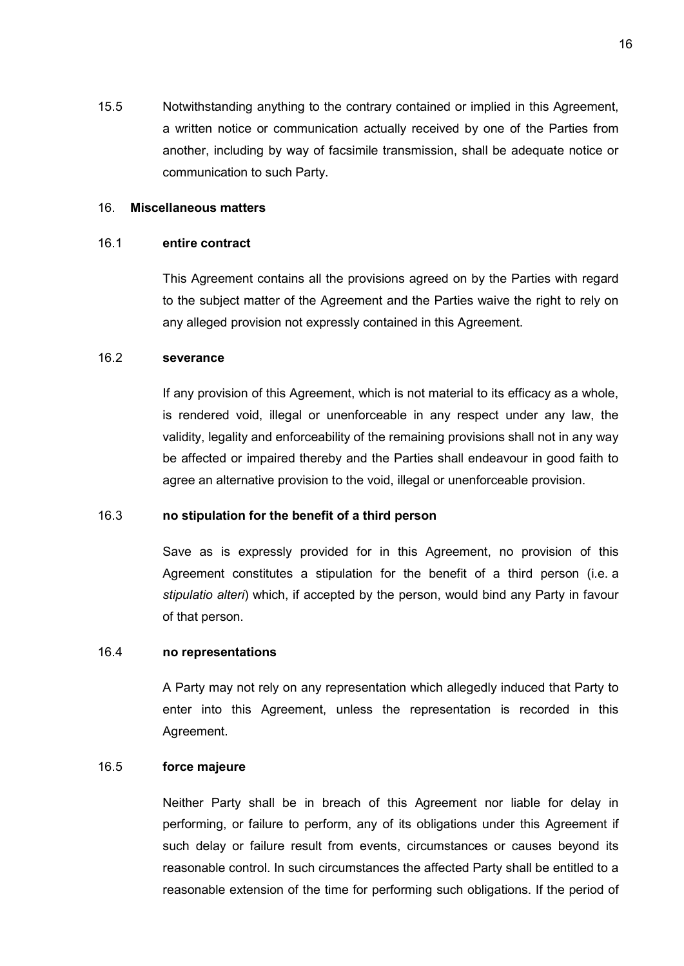15.5 Notwithstanding anything to the contrary contained or implied in this Agreement, a written notice or communication actually received by one of the Parties from another, including by way of facsimile transmission, shall be adequate notice or communication to such Party.

### 16. Miscellaneous matters

#### 16.1 entire contract

This Agreement contains all the provisions agreed on by the Parties with regard to the subject matter of the Agreement and the Parties waive the right to rely on any alleged provision not expressly contained in this Agreement.

### 16.2 severance

If any provision of this Agreement, which is not material to its efficacy as a whole, is rendered void, illegal or unenforceable in any respect under any law, the validity, legality and enforceability of the remaining provisions shall not in any way be affected or impaired thereby and the Parties shall endeavour in good faith to agree an alternative provision to the void, illegal or unenforceable provision.

### 16.3 no stipulation for the benefit of a third person

Save as is expressly provided for in this Agreement, no provision of this Agreement constitutes a stipulation for the benefit of a third person (i.e. a stipulatio alteri) which, if accepted by the person, would bind any Party in favour of that person.

#### 16.4 no representations

A Party may not rely on any representation which allegedly induced that Party to enter into this Agreement, unless the representation is recorded in this Agreement.

#### 16.5 force majeure

Neither Party shall be in breach of this Agreement nor liable for delay in performing, or failure to perform, any of its obligations under this Agreement if such delay or failure result from events, circumstances or causes beyond its reasonable control. In such circumstances the affected Party shall be entitled to a reasonable extension of the time for performing such obligations. If the period of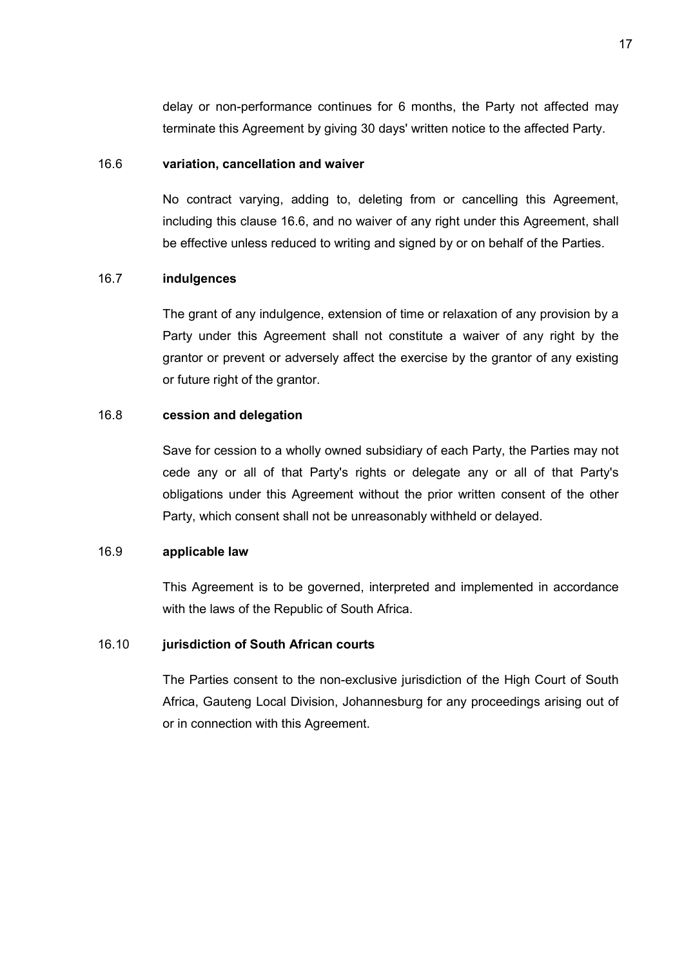delay or non-performance continues for 6 months, the Party not affected may terminate this Agreement by giving 30 days' written notice to the affected Party.

#### 16.6 variation, cancellation and waiver

No contract varying, adding to, deleting from or cancelling this Agreement, including this clause 16.6, and no waiver of any right under this Agreement, shall be effective unless reduced to writing and signed by or on behalf of the Parties.

### 16.7 indulgences

The grant of any indulgence, extension of time or relaxation of any provision by a Party under this Agreement shall not constitute a waiver of any right by the grantor or prevent or adversely affect the exercise by the grantor of any existing or future right of the grantor.

### 16.8 cession and delegation

Save for cession to a wholly owned subsidiary of each Party, the Parties may not cede any or all of that Party's rights or delegate any or all of that Party's obligations under this Agreement without the prior written consent of the other Party, which consent shall not be unreasonably withheld or delayed.

### 16.9 applicable law

This Agreement is to be governed, interpreted and implemented in accordance with the laws of the Republic of South Africa.

### 16.10 jurisdiction of South African courts

The Parties consent to the non-exclusive jurisdiction of the High Court of South Africa, Gauteng Local Division, Johannesburg for any proceedings arising out of or in connection with this Agreement.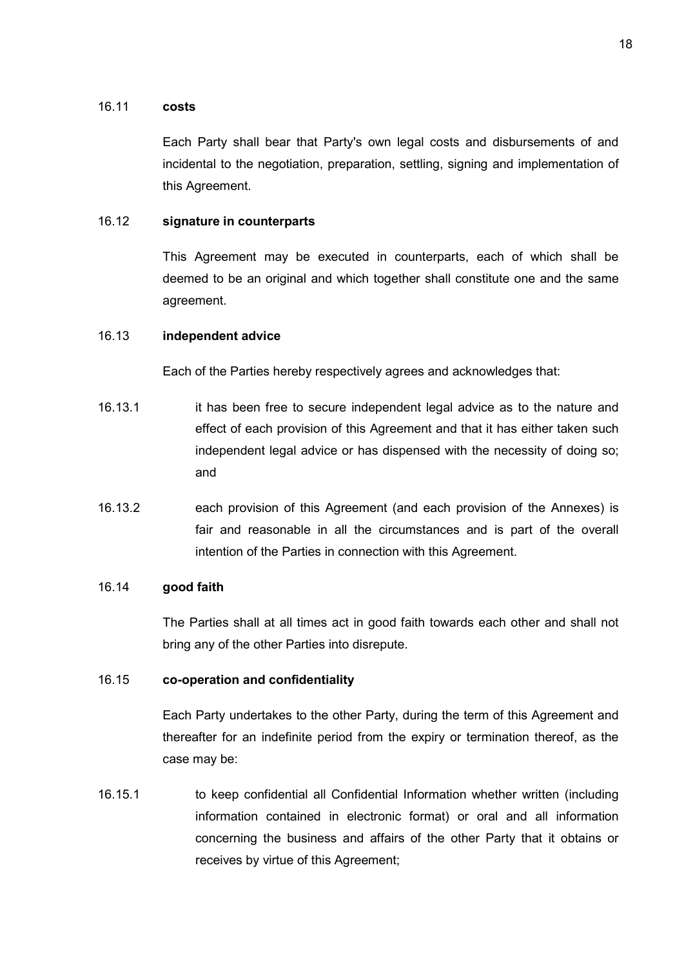### 16.11 costs

Each Party shall bear that Party's own legal costs and disbursements of and incidental to the negotiation, preparation, settling, signing and implementation of this Agreement.

# 16.12 signature in counterparts

This Agreement may be executed in counterparts, each of which shall be deemed to be an original and which together shall constitute one and the same agreement.

# 16.13 independent advice

Each of the Parties hereby respectively agrees and acknowledges that:

- 16.13.1 it has been free to secure independent legal advice as to the nature and effect of each provision of this Agreement and that it has either taken such independent legal advice or has dispensed with the necessity of doing so; and
- 16.13.2 each provision of this Agreement (and each provision of the Annexes) is fair and reasonable in all the circumstances and is part of the overall intention of the Parties in connection with this Agreement.

### 16.14 good faith

The Parties shall at all times act in good faith towards each other and shall not bring any of the other Parties into disrepute.

### 16.15 co-operation and confidentiality

Each Party undertakes to the other Party, during the term of this Agreement and thereafter for an indefinite period from the expiry or termination thereof, as the case may be:

16.15.1 to keep confidential all Confidential Information whether written (including information contained in electronic format) or oral and all information concerning the business and affairs of the other Party that it obtains or receives by virtue of this Agreement;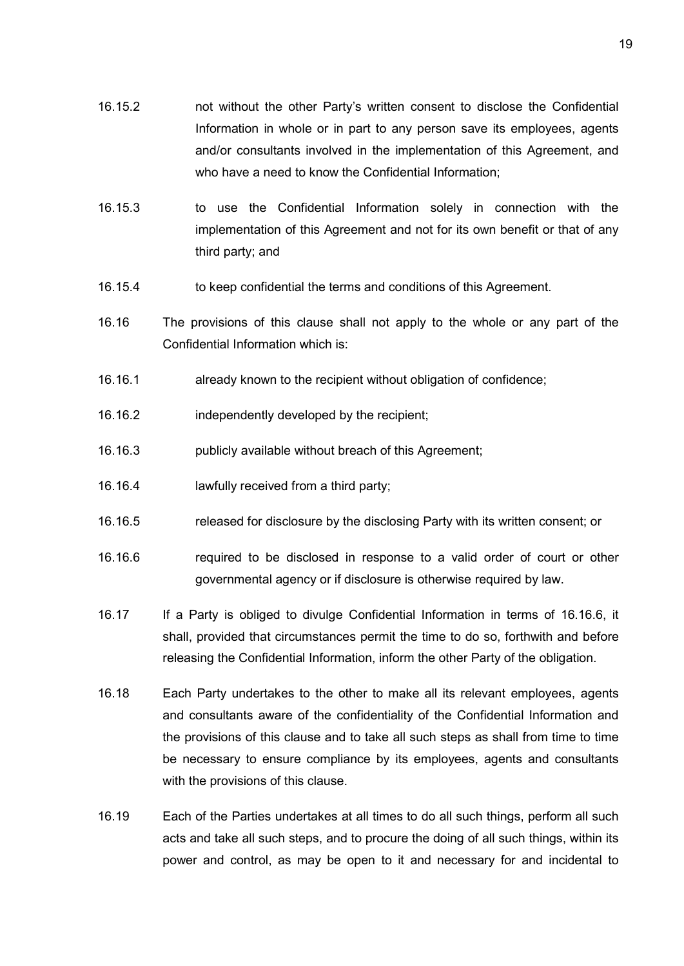- 16.15.2 not without the other Party's written consent to disclose the Confidential Information in whole or in part to any person save its employees, agents and/or consultants involved in the implementation of this Agreement, and who have a need to know the Confidential Information;
- 16.15.3 to use the Confidential Information solely in connection with the implementation of this Agreement and not for its own benefit or that of any third party; and
- 16.15.4 to keep confidential the terms and conditions of this Agreement.
- 16.16 The provisions of this clause shall not apply to the whole or any part of the Confidential Information which is:
- 16.16.1 already known to the recipient without obligation of confidence;
- 16.16.2 independently developed by the recipient;
- 16.16.3 publicly available without breach of this Agreement;
- 16.16.4 lawfully received from a third party;
- 16.16.5 released for disclosure by the disclosing Party with its written consent; or
- 16.16.6 required to be disclosed in response to a valid order of court or other governmental agency or if disclosure is otherwise required by law.
- 16.17 If a Party is obliged to divulge Confidential Information in terms of 16.16.6, it shall, provided that circumstances permit the time to do so, forthwith and before releasing the Confidential Information, inform the other Party of the obligation.
- 16.18 Each Party undertakes to the other to make all its relevant employees, agents and consultants aware of the confidentiality of the Confidential Information and the provisions of this clause and to take all such steps as shall from time to time be necessary to ensure compliance by its employees, agents and consultants with the provisions of this clause.
- 16.19 Each of the Parties undertakes at all times to do all such things, perform all such acts and take all such steps, and to procure the doing of all such things, within its power and control, as may be open to it and necessary for and incidental to